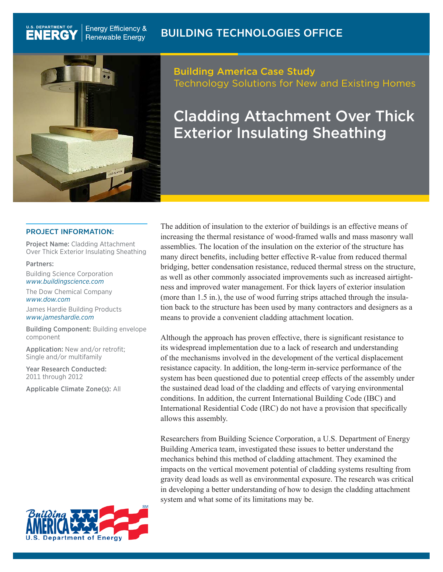## Building Technologies office



**Energy Efficiency &** 

**Renewable Energy** 

U.S. DEPARTMENT OF

**ENERG** 

## Building America Case Study Technology Solutions for New and Existing Homes

# Cladding Attachment Over Thick Exterior Insulating Sheathing

#### PROJECT INFORMATION:

Project Name: Cladding Attachment Over Thick Exterior Insulating Sheathing

Partners:

Building Science Corporation *www.buildingscience.com*

The Dow Chemical Company *www.dow.com*

James Hardie Building Products *www.jameshardie.com*

Building Component: Building envelope component

Application: New and/or retrofit; Single and/or multifamily

Year Research Conducted: 2011 through 2012

Applicable Climate Zone(s): All



The addition of insulation to the exterior of buildings is an effective means of increasing the thermal resistance of wood-framed walls and mass masonry wall assemblies. The location of the insulation on the exterior of the structure has many direct benefits, including better effective R-value from reduced thermal bridging, better condensation resistance, reduced thermal stress on the structure, as well as other commonly associated improvements such as increased airtightness and improved water management. For thick layers of exterior insulation (more than 1.5 in.), the use of wood furring strips attached through the insulation back to the structure has been used by many contractors and designers as a means to provide a convenient cladding attachment location.

Although the approach has proven effective, there is significant resistance to its widespread implementation due to a lack of research and understanding of the mechanisms involved in the development of the vertical displacement resistance capacity. In addition, the long-term in-service performance of the system has been questioned due to potential creep effects of the assembly under the sustained dead load of the cladding and effects of varying environmental conditions. In addition, the current International Building Code (IBC) and International Residential Code (IRC) do not have a provision that specifically allows this assembly.

Researchers from Building Science Corporation, a U.S. Department of Energy Building America team, investigated these issues to better understand the mechanics behind this method of cladding attachment. They examined the impacts on the vertical movement potential of cladding systems resulting from gravity dead loads as well as environmental exposure. The research was critical in developing a better understanding of how to design the cladding attachment system and what some of its limitations may be.